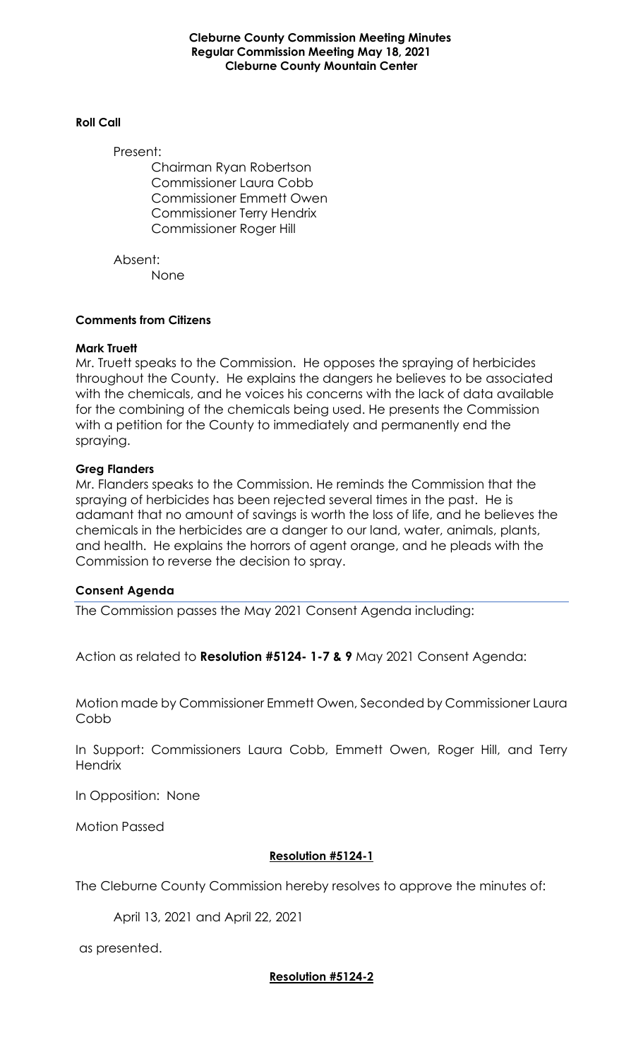**Cleburne County Commission Meeting Minutes Regular Commission Meeting May 18, 2021 Cleburne County Mountain Center**

#### **Roll Call**

Present:

Chairman Ryan Robertson Commissioner Laura Cobb Commissioner Emmett Owen Commissioner Terry Hendrix Commissioner Roger Hill

Absent: None

#### **Comments from Citizens**

#### **Mark Truett**

Mr. Truett speaks to the Commission. He opposes the spraying of herbicides throughout the County. He explains the dangers he believes to be associated with the chemicals, and he voices his concerns with the lack of data available for the combining of the chemicals being used. He presents the Commission with a petition for the County to immediately and permanently end the spraying.

#### **Greg Flanders**

Mr. Flanders speaks to the Commission. He reminds the Commission that the spraying of herbicides has been rejected several times in the past. He is adamant that no amount of savings is worth the loss of life, and he believes the chemicals in the herbicides are a danger to our land, water, animals, plants, and health. He explains the horrors of agent orange, and he pleads with the Commission to reverse the decision to spray.

#### **Consent Agenda**

The Commission passes the May 2021 Consent Agenda including:

Action as related to **Resolution #5124- 1-7 & 9** May 2021 Consent Agenda:

Motion made by Commissioner Emmett Owen, Seconded by Commissioner Laura Cobb

In Support: Commissioners Laura Cobb, Emmett Owen, Roger Hill, and Terry **Hendrix** 

In Opposition: None

Motion Passed

#### **Resolution #5124-1**

The Cleburne County Commission hereby resolves to approve the minutes of:

April 13, 2021 and April 22, 2021

as presented.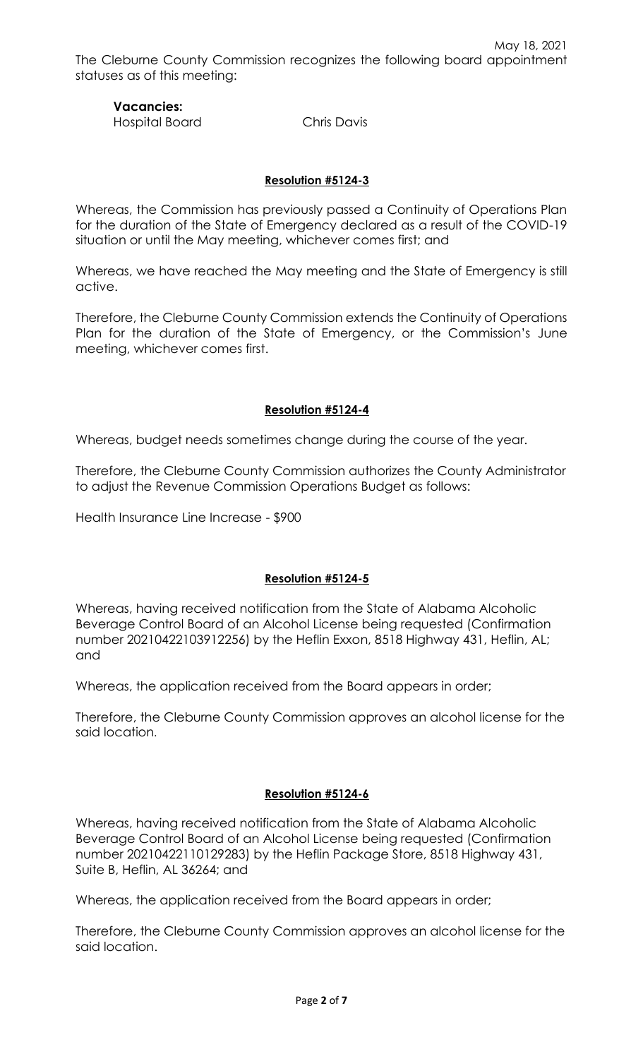### **Vacancies:**  Hospital Board Chris Davis

# **Resolution #5124-3**

Whereas, the Commission has previously passed a Continuity of Operations Plan for the duration of the State of Emergency declared as a result of the COVID-19 situation or until the May meeting, whichever comes first; and

Whereas, we have reached the May meeting and the State of Emergency is still active.

Therefore, the Cleburne County Commission extends the Continuity of Operations Plan for the duration of the State of Emergency, or the Commission's June meeting, whichever comes first.

# **Resolution #5124-4**

Whereas, budget needs sometimes change during the course of the year.

Therefore, the Cleburne County Commission authorizes the County Administrator to adjust the Revenue Commission Operations Budget as follows:

Health Insurance Line Increase - \$900

### **Resolution #5124-5**

Whereas, having received notification from the State of Alabama Alcoholic Beverage Control Board of an Alcohol License being requested (Confirmation number 20210422103912256) by the Heflin Exxon, 8518 Highway 431, Heflin, AL; and

Whereas, the application received from the Board appears in order;

Therefore, the Cleburne County Commission approves an alcohol license for the said location.

### **Resolution #5124-6**

Whereas, having received notification from the State of Alabama Alcoholic Beverage Control Board of an Alcohol License being requested (Confirmation number 20210422110129283) by the Heflin Package Store, 8518 Highway 431, Suite B, Heflin, AL 36264; and

Whereas, the application received from the Board appears in order;

Therefore, the Cleburne County Commission approves an alcohol license for the said location.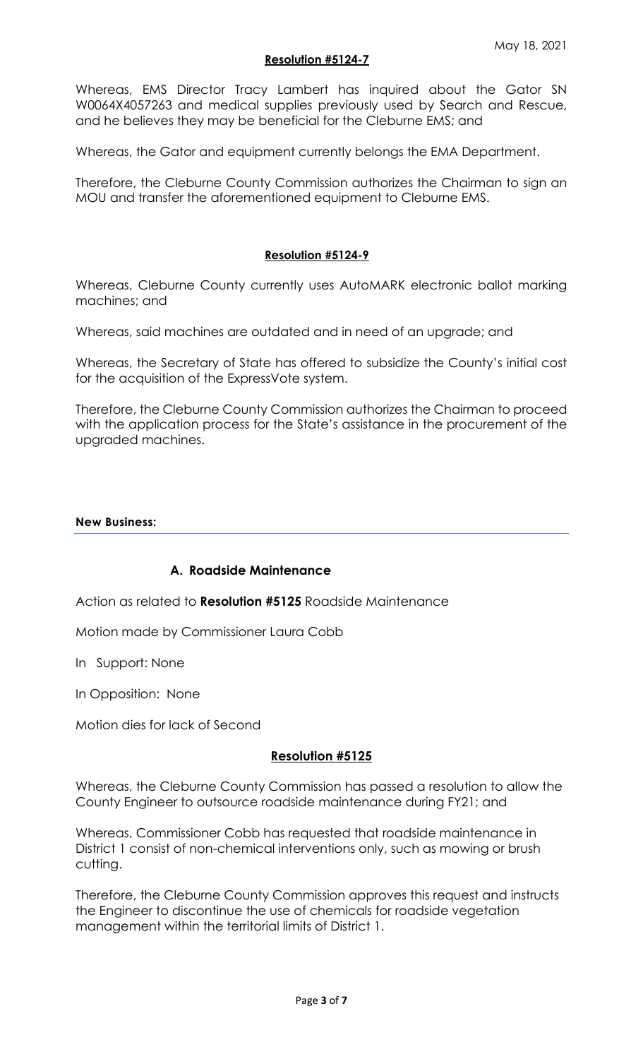#### **Resolution #5124-7**

Whereas, EMS Director Tracy Lambert has inquired about the Gator SN W0064X4057263 and medical supplies previously used by Search and Rescue, and he believes they may be beneficial for the Cleburne EMS; and

Whereas, the Gator and equipment currently belongs the EMA Department.

Therefore, the Cleburne County Commission authorizes the Chairman to sign an MOU and transfer the aforementioned equipment to Cleburne EMS.

#### **Resolution #5124-9**

Whereas, Cleburne County currently uses AutoMARK electronic ballot marking machines; and

Whereas, said machines are outdated and in need of an upgrade; and

Whereas, the Secretary of State has offered to subsidize the County's initial cost for the acquisition of the ExpressVote system.

Therefore, the Cleburne County Commission authorizes the Chairman to proceed with the application process for the State's assistance in the procurement of the upgraded machines.

#### **New Business:**

### **A. Roadside Maintenance**

Action as related to **Resolution #5125** Roadside Maintenance

Motion made by Commissioner Laura Cobb

In Support: None

In Opposition: None

Motion dies for lack of Second

#### **Resolution #5125**

Whereas, the Cleburne County Commission has passed a resolution to allow the County Engineer to outsource roadside maintenance during FY21; and

Whereas, Commissioner Cobb has requested that roadside maintenance in District 1 consist of non-chemical interventions only, such as mowing or brush cutting.

Therefore, the Cleburne County Commission approves this request and instructs the Engineer to discontinue the use of chemicals for roadside vegetation management within the territorial limits of District 1.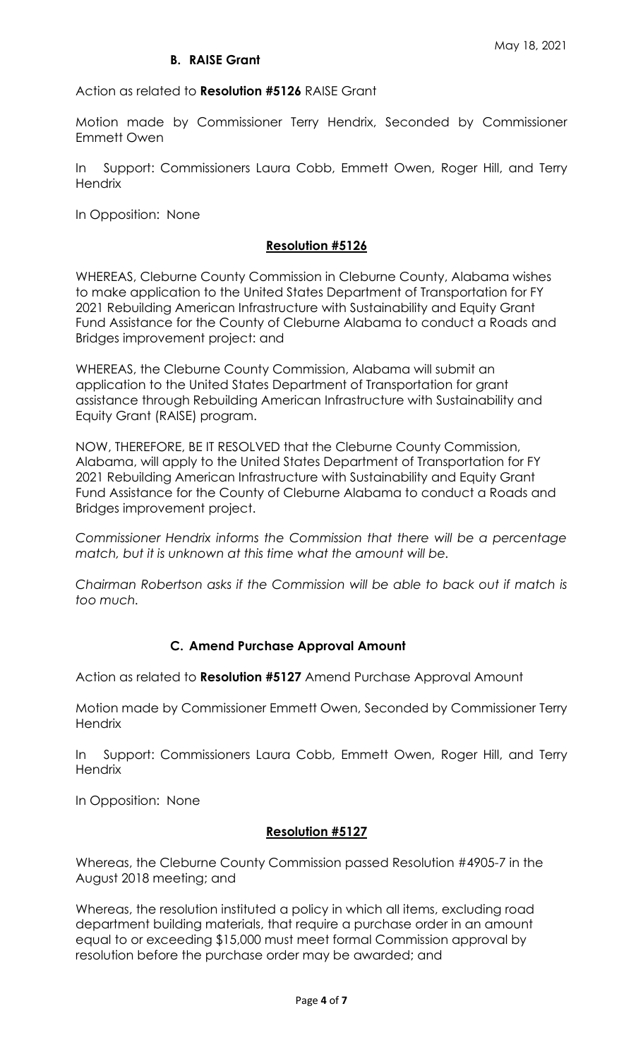# **B. RAISE Grant**

Action as related to **Resolution #5126** RAISE Grant

Motion made by Commissioner Terry Hendrix, Seconded by Commissioner Emmett Owen

In Support: Commissioners Laura Cobb, Emmett Owen, Roger Hill, and Terry **Hendrix** 

In Opposition: None

### **Resolution #5126**

WHEREAS, Cleburne County Commission in Cleburne County, Alabama wishes to make application to the United States Department of Transportation for FY 2021 Rebuilding American Infrastructure with Sustainability and Equity Grant Fund Assistance for the County of Cleburne Alabama to conduct a Roads and Bridges improvement project: and

WHEREAS, the Cleburne County Commission, Alabama will submit an application to the United States Department of Transportation for grant assistance through Rebuilding American Infrastructure with Sustainability and Equity Grant (RAISE) program.

NOW, THEREFORE, BE IT RESOLVED that the Cleburne County Commission, Alabama, will apply to the United States Department of Transportation for FY 2021 Rebuilding American Infrastructure with Sustainability and Equity Grant Fund Assistance for the County of Cleburne Alabama to conduct a Roads and Bridges improvement project.

*Commissioner Hendrix informs the Commission that there will be a percentage match, but it is unknown at this time what the amount will be.*

*Chairman Robertson asks if the Commission will be able to back out if match is too much.*

### **C. Amend Purchase Approval Amount**

Action as related to **Resolution #5127** Amend Purchase Approval Amount

Motion made by Commissioner Emmett Owen, Seconded by Commissioner Terry **Hendrix** 

In Support: Commissioners Laura Cobb, Emmett Owen, Roger Hill, and Terry **Hendrix** 

In Opposition: None

### **Resolution #5127**

Whereas, the Cleburne County Commission passed Resolution #4905-7 in the August 2018 meeting; and

Whereas, the resolution instituted a policy in which all items, excluding road department building materials, that require a purchase order in an amount equal to or exceeding \$15,000 must meet formal Commission approval by resolution before the purchase order may be awarded; and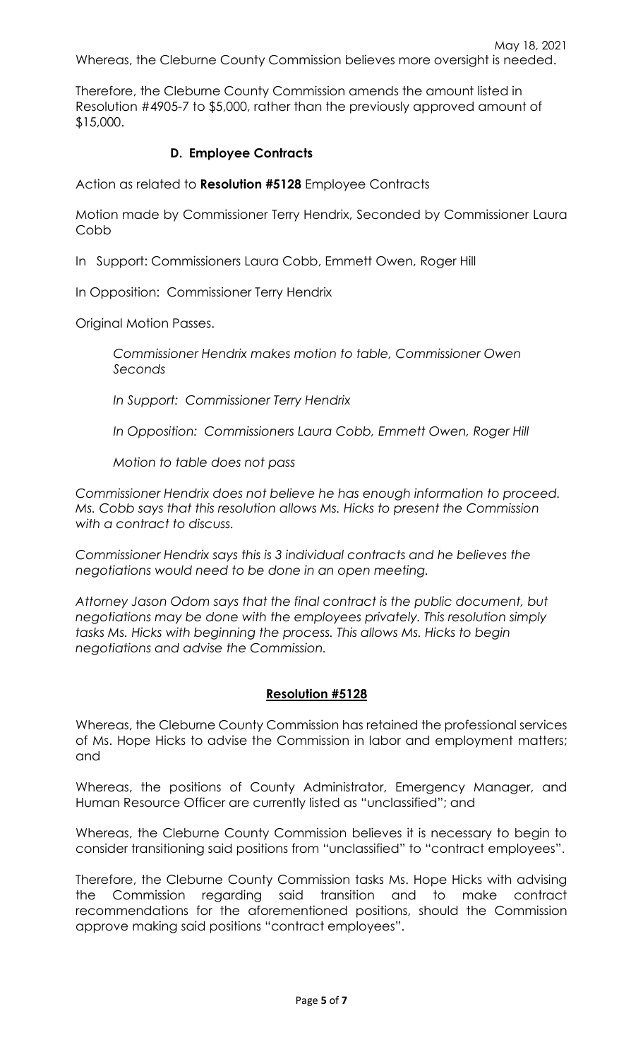Therefore, the Cleburne County Commission amends the amount listed in Resolution #4905-7 to \$5,000, rather than the previously approved amount of \$15,000.

# **D. Employee Contracts**

Action as related to **Resolution #5128** Employee Contracts

Motion made by Commissioner Terry Hendrix, Seconded by Commissioner Laura **Cobb** 

In Support: Commissioners Laura Cobb, Emmett Owen, Roger Hill

In Opposition: Commissioner Terry Hendrix

Original Motion Passes.

*Commissioner Hendrix makes motion to table, Commissioner Owen Seconds*

*In Support: Commissioner Terry Hendrix*

*In Opposition: Commissioners Laura Cobb, Emmett Owen, Roger Hill*

*Motion to table does not pass*

*Commissioner Hendrix does not believe he has enough information to proceed. Ms. Cobb says that this resolution allows Ms. Hicks to present the Commission with a contract to discuss.* 

*Commissioner Hendrix says this is 3 individual contracts and he believes the negotiations would need to be done in an open meeting.* 

*Attorney Jason Odom says that the final contract is the public document, but negotiations may be done with the employees privately. This resolution simply tasks Ms. Hicks with beginning the process. This allows Ms. Hicks to begin negotiations and advise the Commission.* 

# **Resolution #5128**

Whereas, the Cleburne County Commission has retained the professional services of Ms. Hope Hicks to advise the Commission in labor and employment matters; and

Whereas, the positions of County Administrator, Emergency Manager, and Human Resource Officer are currently listed as "unclassified"; and

Whereas, the Cleburne County Commission believes it is necessary to begin to consider transitioning said positions from "unclassified" to "contract employees".

Therefore, the Cleburne County Commission tasks Ms. Hope Hicks with advising the Commission regarding said transition and to make contract recommendations for the aforementioned positions, should the Commission approve making said positions "contract employees".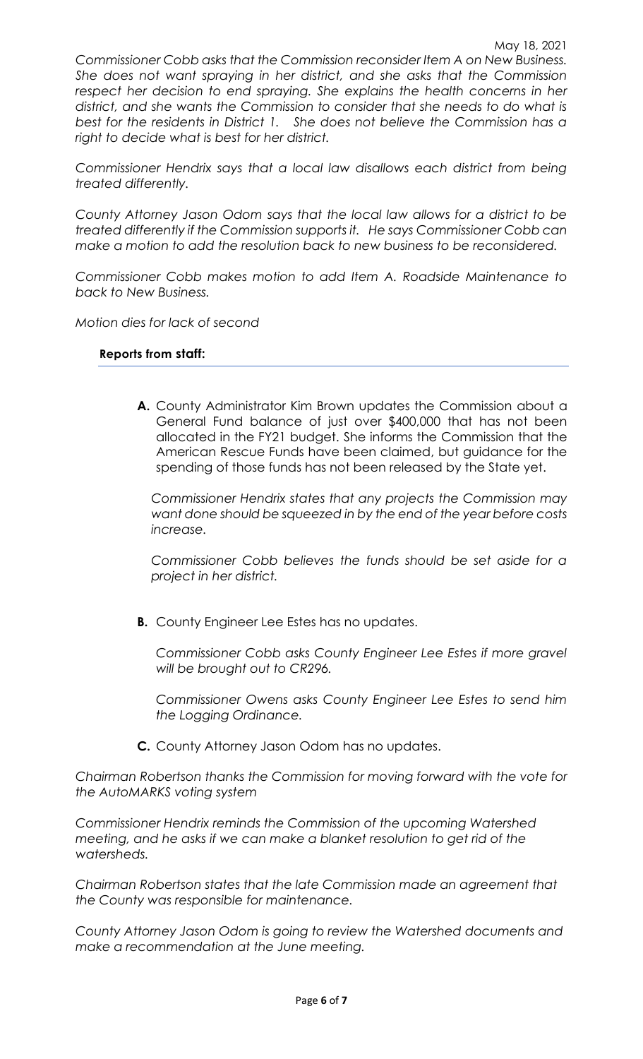*Commissioner Cobb asks that the Commission reconsider Item A on New Business. She does not want spraying in her district, and she asks that the Commission*  respect her decision to end spraying. She explains the health concerns in her *district, and she wants the Commission to consider that she needs to do what is best for the residents in District 1. She does not believe the Commission has a right to decide what is best for her district.*

*Commissioner Hendrix says that a local law disallows each district from being treated differently.* 

*County Attorney Jason Odom says that the local law allows for a district to be treated differently if the Commission supports it. He says Commissioner Cobb can make a motion to add the resolution back to new business to be reconsidered.*

*Commissioner Cobb makes motion to add Item A. Roadside Maintenance to back to New Business.*

*Motion dies for lack of second*

#### **Reports from staff:**

**A.** County Administrator Kim Brown updates the Commission about a General Fund balance of just over \$400,000 that has not been allocated in the FY21 budget. She informs the Commission that the American Rescue Funds have been claimed, but guidance for the spending of those funds has not been released by the State yet.

*Commissioner Hendrix states that any projects the Commission may want done should be squeezed in by the end of the year before costs increase.*

*Commissioner Cobb believes the funds should be set aside for a project in her district.* 

**B.** County Engineer Lee Estes has no updates.

*Commissioner Cobb asks County Engineer Lee Estes if more gravel will be brought out to CR296.*

*Commissioner Owens asks County Engineer Lee Estes to send him the Logging Ordinance.*

**C.** County Attorney Jason Odom has no updates.

*Chairman Robertson thanks the Commission for moving forward with the vote for the AutoMARKS voting system*

*Commissioner Hendrix reminds the Commission of the upcoming Watershed meeting, and he asks if we can make a blanket resolution to get rid of the watersheds.* 

*Chairman Robertson states that the late Commission made an agreement that the County was responsible for maintenance.* 

*County Attorney Jason Odom is going to review the Watershed documents and make a recommendation at the June meeting.*